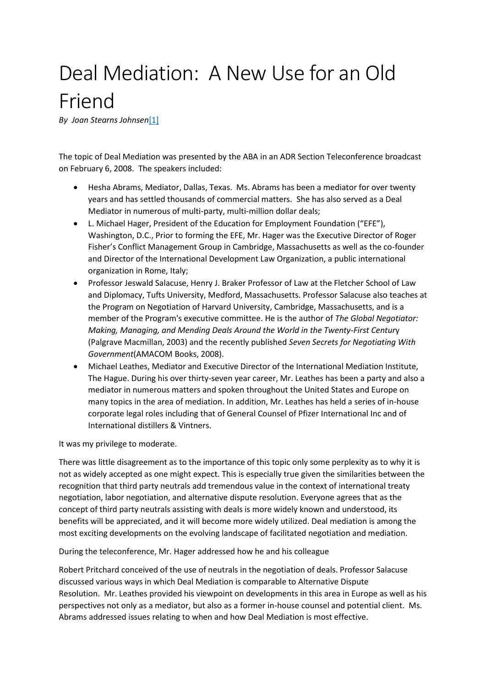## Deal Mediation: A New Use for an Old Friend

*By Joan Stearns Johnsen*[\[1\]](https://imimediation.org/joan-stearns-article#_ftn1)

The topic of Deal Mediation was presented by the ABA in an ADR Section Teleconference broadcast on February 6, 2008. The speakers included:

- Hesha Abrams, Mediator, Dallas, Texas. Ms. Abrams has been a mediator for over twenty years and has settled thousands of commercial matters. She has also served as a Deal Mediator in numerous of multi-party, multi-million dollar deals;
- L. Michael Hager, President of the Education for Employment Foundation ("EFE"), Washington, D.C., Prior to forming the EFE, Mr. Hager was the Executive Director of Roger Fisher's Conflict Management Group in Cambridge, Massachusetts as well as the co-founder and Director of the International Development Law Organization, a public international organization in Rome, Italy;
- Professor Jeswald Salacuse, Henry J. Braker Professor of Law at the Fletcher School of Law and Diplomacy, Tufts University, Medford, Massachusetts. Professor Salacuse also teaches at the Program on Negotiation of Harvard University, Cambridge, Massachusetts, and is a member of the Program's executive committee. He is the author of *The Global Negotiator: Making, Managing, and Mending Deals Around the World in the Twenty-First Centur*y (Palgrave Macmillan, 2003) and the recently published *Seven Secrets for Negotiating With Government*(AMACOM Books, 2008).
- Michael Leathes, Mediator and Executive Director of the International Mediation Institute, The Hague. During his over thirty-seven year career, Mr. Leathes has been a party and also a mediator in numerous matters and spoken throughout the United States and Europe on many topics in the area of mediation. In addition, Mr. Leathes has held a series of in-house corporate legal roles including that of General Counsel of Pfizer International Inc and of International distillers & Vintners.

It was my privilege to moderate.

There was little disagreement as to the importance of this topic only some perplexity as to why it is not as widely accepted as one might expect. This is especially true given the similarities between the recognition that third party neutrals add tremendous value in the context of international treaty negotiation, labor negotiation, and alternative dispute resolution. Everyone agrees that as the concept of third party neutrals assisting with deals is more widely known and understood, its benefits will be appreciated, and it will become more widely utilized. Deal mediation is among the most exciting developments on the evolving landscape of facilitated negotiation and mediation.

During the teleconference, Mr. Hager addressed how he and his colleague

Robert Pritchard conceived of the use of neutrals in the negotiation of deals. Professor Salacuse discussed various ways in which Deal Mediation is comparable to Alternative Dispute Resolution. Mr. Leathes provided his viewpoint on developments in this area in Europe as well as his perspectives not only as a mediator, but also as a former in-house counsel and potential client. Ms. Abrams addressed issues relating to when and how Deal Mediation is most effective.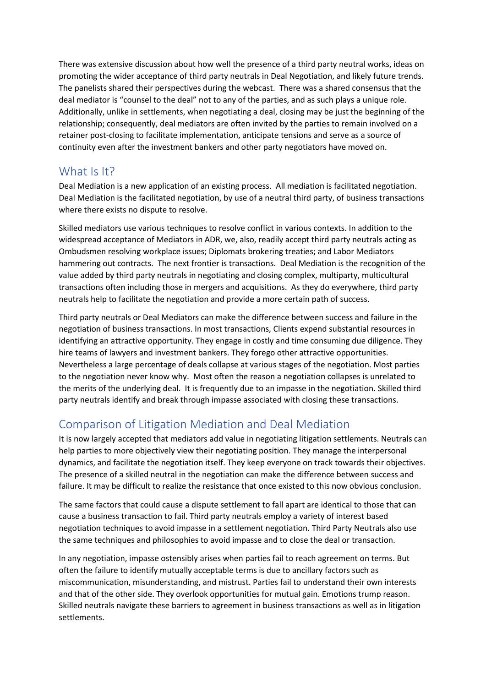There was extensive discussion about how well the presence of a third party neutral works, ideas on promoting the wider acceptance of third party neutrals in Deal Negotiation, and likely future trends. The panelists shared their perspectives during the webcast. There was a shared consensus that the deal mediator is "counsel to the deal" not to any of the parties, and as such plays a unique role. Additionally, unlike in settlements, when negotiating a deal, closing may be just the beginning of the relationship; consequently, deal mediators are often invited by the parties to remain involved on a retainer post-closing to facilitate implementation, anticipate tensions and serve as a source of continuity even after the investment bankers and other party negotiators have moved on.

## What Is It?

Deal Mediation is a new application of an existing process. All mediation is facilitated negotiation. Deal Mediation is the facilitated negotiation, by use of a neutral third party, of business transactions where there exists no dispute to resolve.

Skilled mediators use various techniques to resolve conflict in various contexts. In addition to the widespread acceptance of Mediators in ADR, we, also, readily accept third party neutrals acting as Ombudsmen resolving workplace issues; Diplomats brokering treaties; and Labor Mediators hammering out contracts. The next frontier is transactions. Deal Mediation is the recognition of the value added by third party neutrals in negotiating and closing complex, multiparty, multicultural transactions often including those in mergers and acquisitions. As they do everywhere, third party neutrals help to facilitate the negotiation and provide a more certain path of success.

Third party neutrals or Deal Mediators can make the difference between success and failure in the negotiation of business transactions. In most transactions, Clients expend substantial resources in identifying an attractive opportunity. They engage in costly and time consuming due diligence. They hire teams of lawyers and investment bankers. They forego other attractive opportunities. Nevertheless a large percentage of deals collapse at various stages of the negotiation. Most parties to the negotiation never know why. Most often the reason a negotiation collapses is unrelated to the merits of the underlying deal. It is frequently due to an impasse in the negotiation. Skilled third party neutrals identify and break through impasse associated with closing these transactions.

## Comparison of Litigation Mediation and Deal Mediation

It is now largely accepted that mediators add value in negotiating litigation settlements. Neutrals can help parties to more objectively view their negotiating position. They manage the interpersonal dynamics, and facilitate the negotiation itself. They keep everyone on track towards their objectives. The presence of a skilled neutral in the negotiation can make the difference between success and failure. It may be difficult to realize the resistance that once existed to this now obvious conclusion.

The same factors that could cause a dispute settlement to fall apart are identical to those that can cause a business transaction to fail. Third party neutrals employ a variety of interest based negotiation techniques to avoid impasse in a settlement negotiation. Third Party Neutrals also use the same techniques and philosophies to avoid impasse and to close the deal or transaction.

In any negotiation, impasse ostensibly arises when parties fail to reach agreement on terms. But often the failure to identify mutually acceptable terms is due to ancillary factors such as miscommunication, misunderstanding, and mistrust. Parties fail to understand their own interests and that of the other side. They overlook opportunities for mutual gain. Emotions trump reason. Skilled neutrals navigate these barriers to agreement in business transactions as well as in litigation settlements.